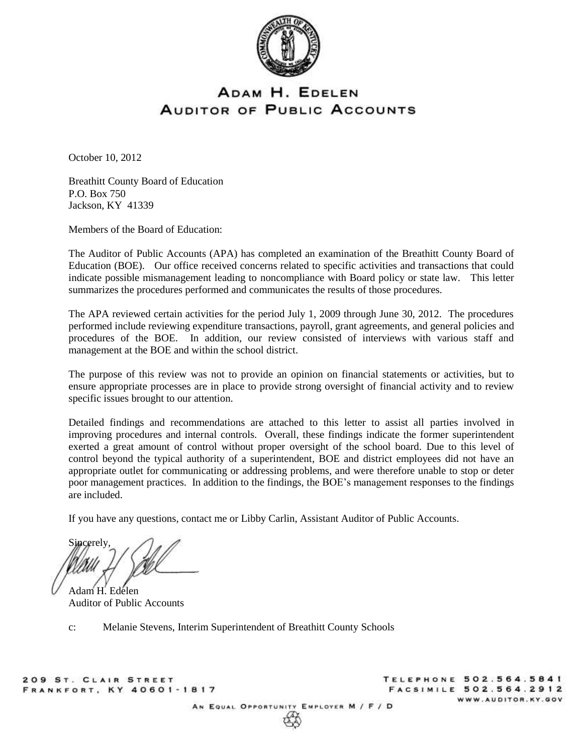

# ADAM H. EDELEN **AUDITOR OF PUBLIC ACCOUNTS**

October 10, 2012

Breathitt County Board of Education P.O. Box 750 Jackson, KY 41339

Members of the Board of Education:

The Auditor of Public Accounts (APA) has completed an examination of the Breathitt County Board of Education (BOE). Our office received concerns related to specific activities and transactions that could indicate possible mismanagement leading to noncompliance with Board policy or state law. This letter summarizes the procedures performed and communicates the results of those procedures.

The APA reviewed certain activities for the period July 1, 2009 through June 30, 2012. The procedures performed include reviewing expenditure transactions, payroll, grant agreements, and general policies and procedures of the BOE. In addition, our review consisted of interviews with various staff and management at the BOE and within the school district.

The purpose of this review was not to provide an opinion on financial statements or activities, but to ensure appropriate processes are in place to provide strong oversight of financial activity and to review specific issues brought to our attention.

Detailed findings and recommendations are attached to this letter to assist all parties involved in improving procedures and internal controls. Overall, these findings indicate the former superintendent exerted a great amount of control without proper oversight of the school board. Due to this level of control beyond the typical authority of a superintendent, BOE and district employees did not have an appropriate outlet for communicating or addressing problems, and were therefore unable to stop or deter poor management practices. In addition to the findings, the BOE's management responses to the findings are included.

If you have any questions, contact me or Libby Carlin, Assistant Auditor of Public Accounts.

**Sincerely** 

Adam H. Edelen Auditor of Public Accounts

c: Melanie Stevens, Interim Superintendent of Breathitt County Schools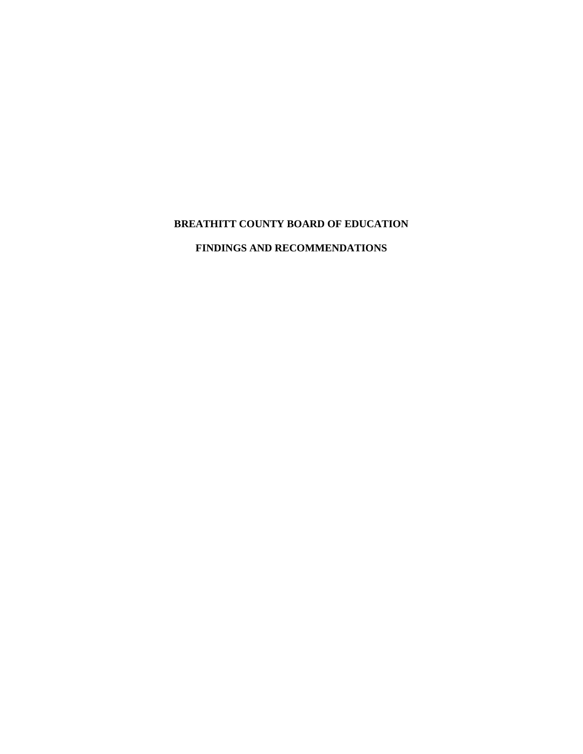# **BREATHITT COUNTY BOARD OF EDUCATION**

# **FINDINGS AND RECOMMENDATIONS**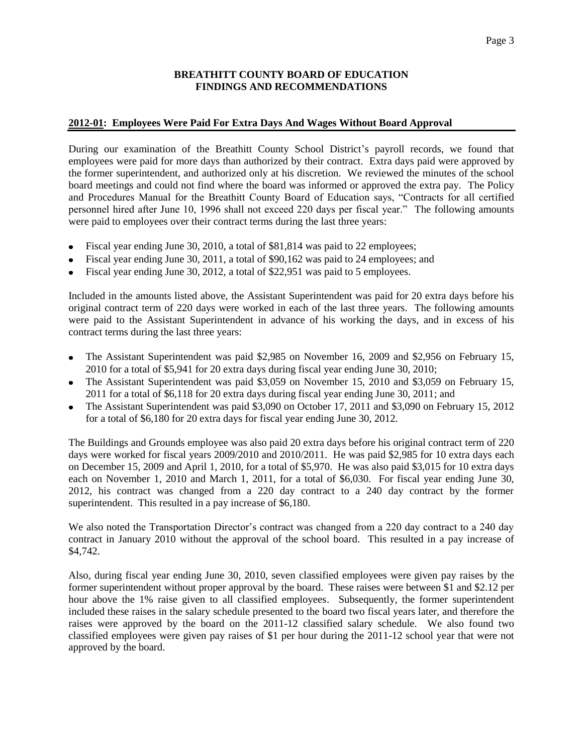# **2012-01: Employees Were Paid For Extra Days And Wages Without Board Approval**

During our examination of the Breathitt County School District's payroll records, we found that employees were paid for more days than authorized by their contract. Extra days paid were approved by the former superintendent, and authorized only at his discretion. We reviewed the minutes of the school board meetings and could not find where the board was informed or approved the extra pay. The Policy and Procedures Manual for the Breathitt County Board of Education says, "Contracts for all certified personnel hired after June 10, 1996 shall not exceed 220 days per fiscal year." The following amounts were paid to employees over their contract terms during the last three years:

- Fiscal year ending June 30, 2010, a total of \$81,814 was paid to 22 employees;
- Fiscal year ending June 30, 2011, a total of \$90,162 was paid to 24 employees; and
- Fiscal year ending June 30, 2012, a total of \$22,951 was paid to 5 employees.

Included in the amounts listed above, the Assistant Superintendent was paid for 20 extra days before his original contract term of 220 days were worked in each of the last three years. The following amounts were paid to the Assistant Superintendent in advance of his working the days, and in excess of his contract terms during the last three years:

- The Assistant Superintendent was paid \$2,985 on November 16, 2009 and \$2,956 on February 15,  $\bullet$ 2010 for a total of \$5,941 for 20 extra days during fiscal year ending June 30, 2010;
- The Assistant Superintendent was paid \$3,059 on November 15, 2010 and \$3,059 on February 15, 2011 for a total of \$6,118 for 20 extra days during fiscal year ending June 30, 2011; and
- The Assistant Superintendent was paid \$3,090 on October 17, 2011 and \$3,090 on February 15, 2012 for a total of \$6,180 for 20 extra days for fiscal year ending June 30, 2012.

The Buildings and Grounds employee was also paid 20 extra days before his original contract term of 220 days were worked for fiscal years 2009/2010 and 2010/2011. He was paid \$2,985 for 10 extra days each on December 15, 2009 and April 1, 2010, for a total of \$5,970. He was also paid \$3,015 for 10 extra days each on November 1, 2010 and March 1, 2011, for a total of \$6,030. For fiscal year ending June 30, 2012, his contract was changed from a 220 day contract to a 240 day contract by the former superintendent. This resulted in a pay increase of \$6,180.

We also noted the Transportation Director's contract was changed from a 220 day contract to a 240 day contract in January 2010 without the approval of the school board. This resulted in a pay increase of \$4,742.

Also, during fiscal year ending June 30, 2010, seven classified employees were given pay raises by the former superintendent without proper approval by the board. These raises were between \$1 and \$2.12 per hour above the 1% raise given to all classified employees. Subsequently, the former superintendent included these raises in the salary schedule presented to the board two fiscal years later, and therefore the raises were approved by the board on the 2011-12 classified salary schedule. We also found two classified employees were given pay raises of \$1 per hour during the 2011-12 school year that were not approved by the board.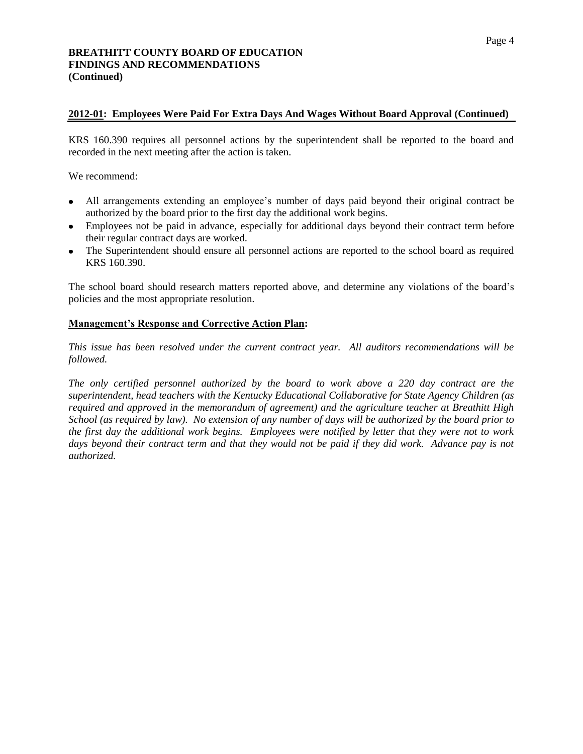#### **2012-01: Employees Were Paid For Extra Days And Wages Without Board Approval (Continued)**

KRS 160.390 requires all personnel actions by the superintendent shall be reported to the board and recorded in the next meeting after the action is taken.

We recommend:

- All arrangements extending an employee's number of days paid beyond their original contract be authorized by the board prior to the first day the additional work begins.
- Employees not be paid in advance, especially for additional days beyond their contract term before their regular contract days are worked.
- The Superintendent should ensure all personnel actions are reported to the school board as required KRS 160.390.

The school board should research matters reported above, and determine any violations of the board's policies and the most appropriate resolution.

#### **Management's Response and Corrective Action Plan:**

*This issue has been resolved under the current contract year. All auditors recommendations will be followed.*

*The only certified personnel authorized by the board to work above a 220 day contract are the superintendent, head teachers with the Kentucky Educational Collaborative for State Agency Children (as required and approved in the memorandum of agreement) and the agriculture teacher at Breathitt High School (as required by law). No extension of any number of days will be authorized by the board prior to the first day the additional work begins. Employees were notified by letter that they were not to work days beyond their contract term and that they would not be paid if they did work. Advance pay is not authorized.*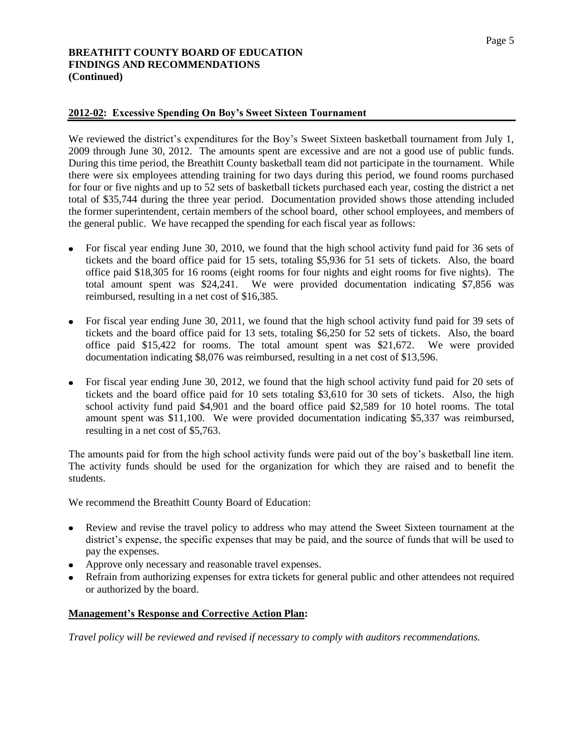### **2012-02: Excessive Spending On Boy's Sweet Sixteen Tournament**

We reviewed the district's expenditures for the Boy's Sweet Sixteen basketball tournament from July 1, 2009 through June 30, 2012. The amounts spent are excessive and are not a good use of public funds. During this time period, the Breathitt County basketball team did not participate in the tournament. While there were six employees attending training for two days during this period, we found rooms purchased for four or five nights and up to 52 sets of basketball tickets purchased each year, costing the district a net total of \$35,744 during the three year period. Documentation provided shows those attending included the former superintendent, certain members of the school board, other school employees, and members of the general public. We have recapped the spending for each fiscal year as follows:

- For fiscal year ending June 30, 2010, we found that the high school activity fund paid for 36 sets of tickets and the board office paid for 15 sets, totaling \$5,936 for 51 sets of tickets. Also, the board office paid \$18,305 for 16 rooms (eight rooms for four nights and eight rooms for five nights). The total amount spent was \$24,241. We were provided documentation indicating \$7,856 was reimbursed, resulting in a net cost of \$16,385.
- For fiscal year ending June 30, 2011, we found that the high school activity fund paid for 39 sets of tickets and the board office paid for 13 sets, totaling \$6,250 for 52 sets of tickets. Also, the board office paid \$15,422 for rooms. The total amount spent was \$21,672. We were provided documentation indicating \$8,076 was reimbursed, resulting in a net cost of \$13,596.
- For fiscal year ending June 30, 2012, we found that the high school activity fund paid for 20 sets of tickets and the board office paid for 10 sets totaling \$3,610 for 30 sets of tickets. Also, the high school activity fund paid \$4,901 and the board office paid \$2,589 for 10 hotel rooms. The total amount spent was \$11,100. We were provided documentation indicating \$5,337 was reimbursed, resulting in a net cost of \$5,763.

The amounts paid for from the high school activity funds were paid out of the boy's basketball line item. The activity funds should be used for the organization for which they are raised and to benefit the students.

We recommend the Breathitt County Board of Education:

- Review and revise the travel policy to address who may attend the Sweet Sixteen tournament at the district's expense, the specific expenses that may be paid, and the source of funds that will be used to pay the expenses.
- Approve only necessary and reasonable travel expenses.
- Refrain from authorizing expenses for extra tickets for general public and other attendees not required or authorized by the board.

#### **Management's Response and Corrective Action Plan:**

*Travel policy will be reviewed and revised if necessary to comply with auditors recommendations.*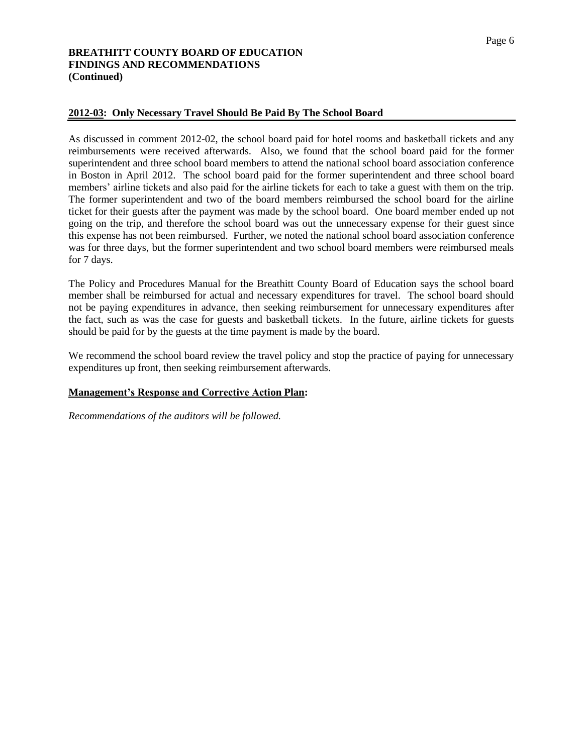#### Page 6

# **BREATHITT COUNTY BOARD OF EDUCATION FINDINGS AND RECOMMENDATIONS (Continued)**

# **2012-03: Only Necessary Travel Should Be Paid By The School Board**

As discussed in comment 2012-02, the school board paid for hotel rooms and basketball tickets and any reimbursements were received afterwards. Also, we found that the school board paid for the former superintendent and three school board members to attend the national school board association conference in Boston in April 2012. The school board paid for the former superintendent and three school board members' airline tickets and also paid for the airline tickets for each to take a guest with them on the trip. The former superintendent and two of the board members reimbursed the school board for the airline ticket for their guests after the payment was made by the school board. One board member ended up not going on the trip, and therefore the school board was out the unnecessary expense for their guest since this expense has not been reimbursed. Further, we noted the national school board association conference was for three days, but the former superintendent and two school board members were reimbursed meals for 7 days.

The Policy and Procedures Manual for the Breathitt County Board of Education says the school board member shall be reimbursed for actual and necessary expenditures for travel. The school board should not be paying expenditures in advance, then seeking reimbursement for unnecessary expenditures after the fact, such as was the case for guests and basketball tickets. In the future, airline tickets for guests should be paid for by the guests at the time payment is made by the board.

We recommend the school board review the travel policy and stop the practice of paying for unnecessary expenditures up front, then seeking reimbursement afterwards.

#### **Management's Response and Corrective Action Plan:**

*Recommendations of the auditors will be followed.*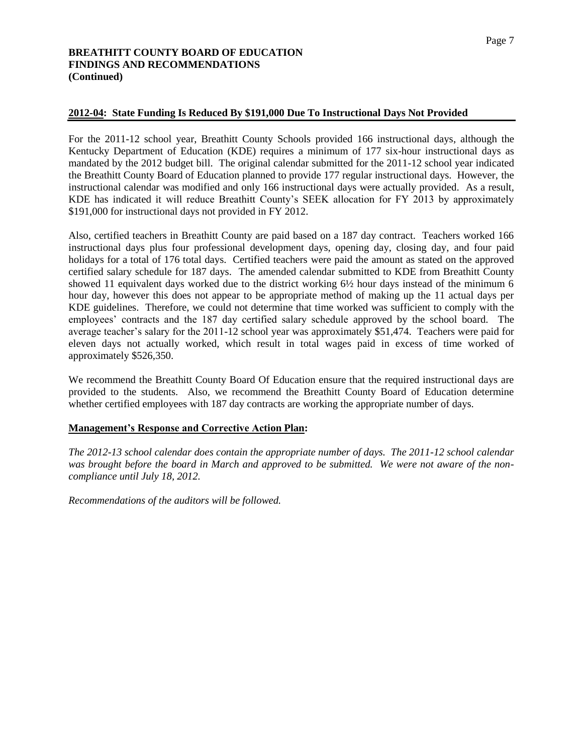# **2012-04: State Funding Is Reduced By \$191,000 Due To Instructional Days Not Provided**

For the 2011-12 school year, Breathitt County Schools provided 166 instructional days, although the Kentucky Department of Education (KDE) requires a minimum of 177 six-hour instructional days as mandated by the 2012 budget bill. The original calendar submitted for the 2011-12 school year indicated the Breathitt County Board of Education planned to provide 177 regular instructional days. However, the instructional calendar was modified and only 166 instructional days were actually provided. As a result, KDE has indicated it will reduce Breathitt County's SEEK allocation for FY 2013 by approximately \$191,000 for instructional days not provided in FY 2012.

Also, certified teachers in Breathitt County are paid based on a 187 day contract. Teachers worked 166 instructional days plus four professional development days, opening day, closing day, and four paid holidays for a total of 176 total days. Certified teachers were paid the amount as stated on the approved certified salary schedule for 187 days. The amended calendar submitted to KDE from Breathitt County showed 11 equivalent days worked due to the district working 6½ hour days instead of the minimum 6 hour day, however this does not appear to be appropriate method of making up the 11 actual days per KDE guidelines. Therefore, we could not determine that time worked was sufficient to comply with the employees' contracts and the 187 day certified salary schedule approved by the school board. The average teacher's salary for the 2011-12 school year was approximately \$51,474. Teachers were paid for eleven days not actually worked, which result in total wages paid in excess of time worked of approximately \$526,350.

We recommend the Breathitt County Board Of Education ensure that the required instructional days are provided to the students. Also, we recommend the Breathitt County Board of Education determine whether certified employees with 187 day contracts are working the appropriate number of days.

#### **Management's Response and Corrective Action Plan:**

*The 2012-13 school calendar does contain the appropriate number of days. The 2011-12 school calendar was brought before the board in March and approved to be submitted. We were not aware of the noncompliance until July 18, 2012.*

*Recommendations of the auditors will be followed.*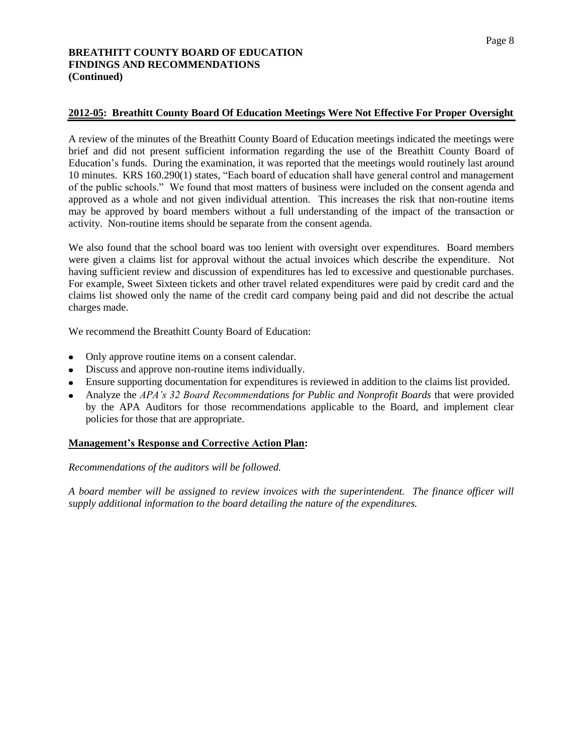# **2012-05: Breathitt County Board Of Education Meetings Were Not Effective For Proper Oversight**

A review of the minutes of the Breathitt County Board of Education meetings indicated the meetings were brief and did not present sufficient information regarding the use of the Breathitt County Board of Education's funds. During the examination, it was reported that the meetings would routinely last around 10 minutes. KRS 160.290(1) states, "Each board of education shall have general control and management of the public schools." We found that most matters of business were included on the consent agenda and approved as a whole and not given individual attention. This increases the risk that non-routine items may be approved by board members without a full understanding of the impact of the transaction or activity. Non-routine items should be separate from the consent agenda.

We also found that the school board was too lenient with oversight over expenditures. Board members were given a claims list for approval without the actual invoices which describe the expenditure. Not having sufficient review and discussion of expenditures has led to excessive and questionable purchases. For example, Sweet Sixteen tickets and other travel related expenditures were paid by credit card and the claims list showed only the name of the credit card company being paid and did not describe the actual charges made.

We recommend the Breathitt County Board of Education:

- Only approve routine items on a consent calendar.
- Discuss and approve non-routine items individually.
- Ensure supporting documentation for expenditures is reviewed in addition to the claims list provided.
- Analyze the *APA's 32 Board Recommendations for Public and Nonprofit Boards* that were provided by the APA Auditors for those recommendations applicable to the Board, and implement clear policies for those that are appropriate.

#### **Management's Response and Corrective Action Plan:**

#### *Recommendations of the auditors will be followed.*

*A board member will be assigned to review invoices with the superintendent. The finance officer will supply additional information to the board detailing the nature of the expenditures.*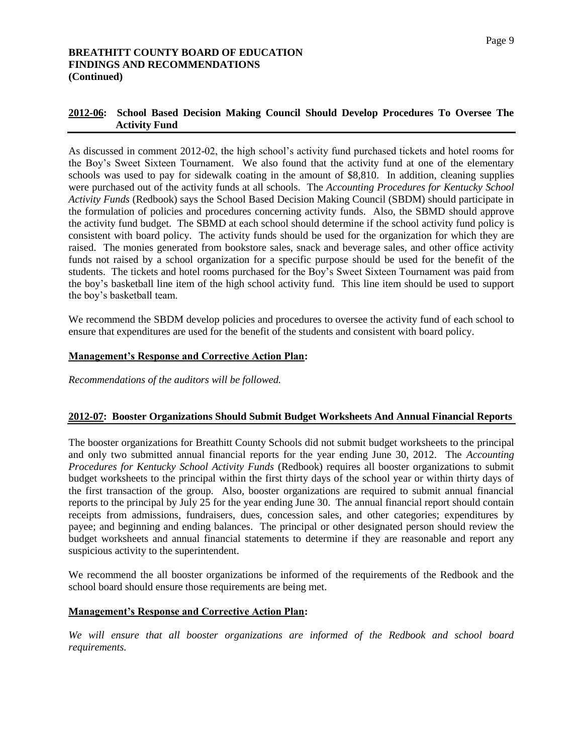# **2012-06: School Based Decision Making Council Should Develop Procedures To Oversee The Activity Fund**

As discussed in comment 2012-02, the high school's activity fund purchased tickets and hotel rooms for the Boy's Sweet Sixteen Tournament. We also found that the activity fund at one of the elementary schools was used to pay for sidewalk coating in the amount of \$8,810. In addition, cleaning supplies were purchased out of the activity funds at all schools. The *Accounting Procedures for Kentucky School Activity Funds* (Redbook) says the School Based Decision Making Council (SBDM) should participate in the formulation of policies and procedures concerning activity funds. Also, the SBMD should approve the activity fund budget. The SBMD at each school should determine if the school activity fund policy is consistent with board policy. The activity funds should be used for the organization for which they are raised. The monies generated from bookstore sales, snack and beverage sales, and other office activity funds not raised by a school organization for a specific purpose should be used for the benefit of the students. The tickets and hotel rooms purchased for the Boy's Sweet Sixteen Tournament was paid from the boy's basketball line item of the high school activity fund. This line item should be used to support the boy's basketball team.

We recommend the SBDM develop policies and procedures to oversee the activity fund of each school to ensure that expenditures are used for the benefit of the students and consistent with board policy.

# **Management's Response and Corrective Action Plan:**

*Recommendations of the auditors will be followed.*

#### **2012-07: Booster Organizations Should Submit Budget Worksheets And Annual Financial Reports**

The booster organizations for Breathitt County Schools did not submit budget worksheets to the principal and only two submitted annual financial reports for the year ending June 30, 2012. The *Accounting Procedures for Kentucky School Activity Funds* (Redbook) requires all booster organizations to submit budget worksheets to the principal within the first thirty days of the school year or within thirty days of the first transaction of the group. Also, booster organizations are required to submit annual financial reports to the principal by July 25 for the year ending June 30. The annual financial report should contain receipts from admissions, fundraisers, dues, concession sales, and other categories; expenditures by payee; and beginning and ending balances. The principal or other designated person should review the budget worksheets and annual financial statements to determine if they are reasonable and report any suspicious activity to the superintendent.

We recommend the all booster organizations be informed of the requirements of the Redbook and the school board should ensure those requirements are being met.

#### **Management's Response and Corrective Action Plan:**

*We will ensure that all booster organizations are informed of the Redbook and school board requirements.*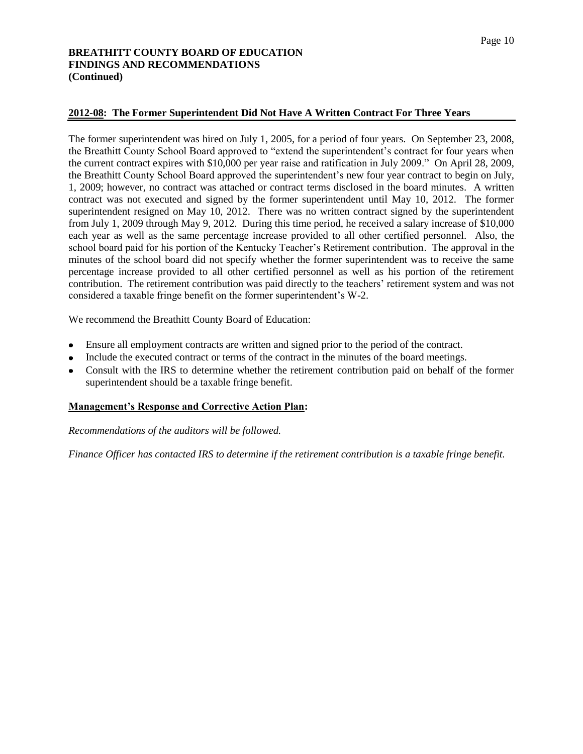### **2012-08: The Former Superintendent Did Not Have A Written Contract For Three Years**

The former superintendent was hired on July 1, 2005, for a period of four years. On September 23, 2008, the Breathitt County School Board approved to "extend the superintendent's contract for four years when the current contract expires with \$10,000 per year raise and ratification in July 2009." On April 28, 2009, the Breathitt County School Board approved the superintendent's new four year contract to begin on July, 1, 2009; however, no contract was attached or contract terms disclosed in the board minutes. A written contract was not executed and signed by the former superintendent until May 10, 2012. The former superintendent resigned on May 10, 2012. There was no written contract signed by the superintendent from July 1, 2009 through May 9, 2012. During this time period, he received a salary increase of \$10,000 each year as well as the same percentage increase provided to all other certified personnel. Also, the school board paid for his portion of the Kentucky Teacher's Retirement contribution. The approval in the minutes of the school board did not specify whether the former superintendent was to receive the same percentage increase provided to all other certified personnel as well as his portion of the retirement contribution. The retirement contribution was paid directly to the teachers' retirement system and was not considered a taxable fringe benefit on the former superintendent's W-2.

We recommend the Breathitt County Board of Education:

- Ensure all employment contracts are written and signed prior to the period of the contract.
- Include the executed contract or terms of the contract in the minutes of the board meetings.
- Consult with the IRS to determine whether the retirement contribution paid on behalf of the former superintendent should be a taxable fringe benefit.

#### **Management's Response and Corrective Action Plan:**

*Recommendations of the auditors will be followed.*

*Finance Officer has contacted IRS to determine if the retirement contribution is a taxable fringe benefit.*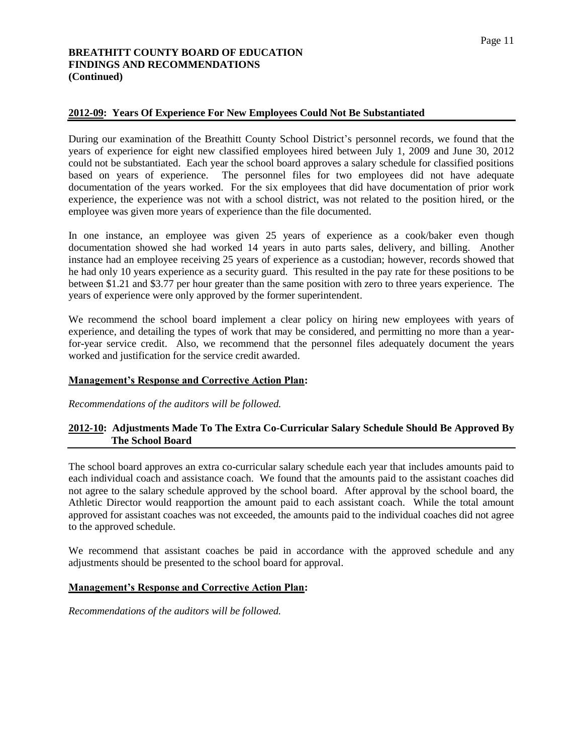# **2012-09: Years Of Experience For New Employees Could Not Be Substantiated**

During our examination of the Breathitt County School District's personnel records, we found that the years of experience for eight new classified employees hired between July 1, 2009 and June 30, 2012 could not be substantiated. Each year the school board approves a salary schedule for classified positions based on years of experience. The personnel files for two employees did not have adequate documentation of the years worked. For the six employees that did have documentation of prior work experience, the experience was not with a school district, was not related to the position hired, or the employee was given more years of experience than the file documented.

In one instance, an employee was given 25 years of experience as a cook/baker even though documentation showed she had worked 14 years in auto parts sales, delivery, and billing. Another instance had an employee receiving 25 years of experience as a custodian; however, records showed that he had only 10 years experience as a security guard. This resulted in the pay rate for these positions to be between \$1.21 and \$3.77 per hour greater than the same position with zero to three years experience. The years of experience were only approved by the former superintendent.

We recommend the school board implement a clear policy on hiring new employees with years of experience, and detailing the types of work that may be considered, and permitting no more than a yearfor-year service credit. Also, we recommend that the personnel files adequately document the years worked and justification for the service credit awarded.

### **Management's Response and Corrective Action Plan:**

*Recommendations of the auditors will be followed.*

# **2012-10: Adjustments Made To The Extra Co-Curricular Salary Schedule Should Be Approved By The School Board**

The school board approves an extra co-curricular salary schedule each year that includes amounts paid to each individual coach and assistance coach. We found that the amounts paid to the assistant coaches did not agree to the salary schedule approved by the school board. After approval by the school board, the Athletic Director would reapportion the amount paid to each assistant coach. While the total amount approved for assistant coaches was not exceeded, the amounts paid to the individual coaches did not agree to the approved schedule.

We recommend that assistant coaches be paid in accordance with the approved schedule and any adjustments should be presented to the school board for approval.

#### **Management's Response and Corrective Action Plan:**

*Recommendations of the auditors will be followed.*